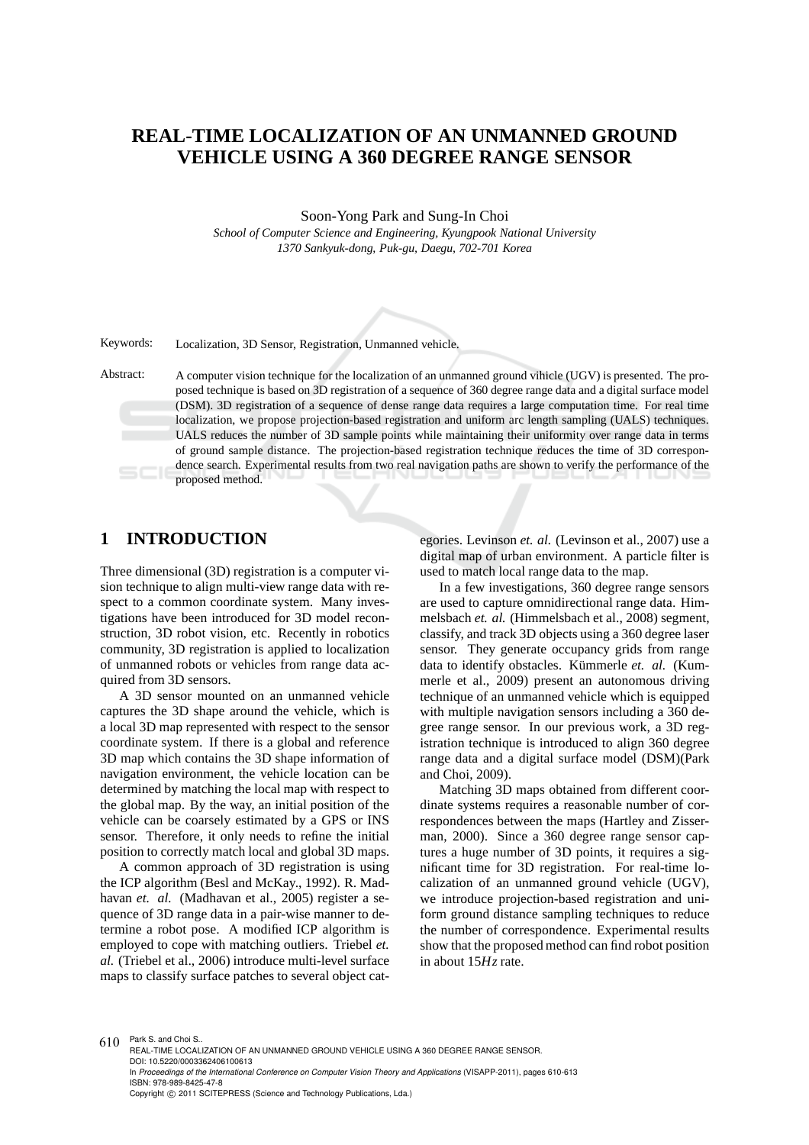## **REAL-TIME LOCALIZATION OF AN UNMANNED GROUND VEHICLE USING A 360 DEGREE RANGE SENSOR**

Soon-Yong Park and Sung-In Choi *School of Computer Science and Engineering, Kyungpook National University 1370 Sankyuk-dong, Puk-gu, Daegu, 702-701 Korea*

Keywords: Localization, 3D Sensor, Registration, Unmanned vehicle.

Abstract: A computer vision technique for the localization of an unmanned ground vihicle (UGV) is presented. The proposed technique is based on 3D registration of a sequence of 360 degree range data and a digital surface model (DSM). 3D registration of a sequence of dense range data requires a large computation time. For real time localization, we propose projection-based registration and uniform arc length sampling (UALS) techniques. UALS reduces the number of 3D sample points while maintaining their uniformity over range data in terms of ground sample distance. The projection-based registration technique reduces the time of 3D correspondence search. Experimental results from two real navigation paths are shown to verify the performance of the proposed method.

## **1 INTRODUCTION**

Three dimensional (3D) registration is a computer vision technique to align multi-view range data with respect to a common coordinate system. Many investigations have been introduced for 3D model reconstruction, 3D robot vision, etc. Recently in robotics community, 3D registration is applied to localization of unmanned robots or vehicles from range data acquired from 3D sensors.

A 3D sensor mounted on an unmanned vehicle captures the 3D shape around the vehicle, which is a local 3D map represented with respect to the sensor coordinate system. If there is a global and reference 3D map which contains the 3D shape information of navigation environment, the vehicle location can be determined by matching the local map with respect to the global map. By the way, an initial position of the vehicle can be coarsely estimated by a GPS or INS sensor. Therefore, it only needs to refine the initial position to correctly match local and global 3D maps.

A common approach of 3D registration is using the ICP algorithm (Besl and McKay., 1992). R. Madhavan *et. al.* (Madhavan et al., 2005) register a sequence of 3D range data in a pair-wise manner to determine a robot pose. A modified ICP algorithm is employed to cope with matching outliers. Triebel *et. al.* (Triebel et al., 2006) introduce multi-level surface maps to classify surface patches to several object categories. Levinson *et. al.* (Levinson et al., 2007) use a digital map of urban environment. A particle filter is used to match local range data to the map.

In a few investigations, 360 degree range sensors are used to capture omnidirectional range data. Himmelsbach *et. al.* (Himmelsbach et al., 2008) segment, classify, and track 3D objects using a 360 degree laser sensor. They generate occupancy grids from range data to identify obstacles. Kümmerle et. al. (Kummerle et al., 2009) present an autonomous driving technique of an unmanned vehicle which is equipped with multiple navigation sensors including a 360 degree range sensor. In our previous work, a 3D registration technique is introduced to align 360 degree range data and a digital surface model (DSM)(Park and Choi, 2009).

Matching 3D maps obtained from different coordinate systems requires a reasonable number of correspondences between the maps (Hartley and Zisserman, 2000). Since a 360 degree range sensor captures a huge number of 3D points, it requires a significant time for 3D registration. For real-time localization of an unmanned ground vehicle (UGV), we introduce projection-based registration and uniform ground distance sampling techniques to reduce the number of correspondence. Experimental results show that the proposed method can find robot position in about 15*Hz* rate.

 $610$  Park S. and Choi S. REAL-TIME LOCALIZATION OF AN UNMANNED GROUND VEHICLE USING A 360 DEGREE RANGE SENSOR. DOI: 10.5220/0003362406100613 In *Proceedings of the International Conference on Computer Vision Theory and Applications* (VISAPP-2011), pages 610-613 ISBN: 978-989-8425-47-8 Copyright © 2011 SCITEPRESS (Science and Technology Publications, Lda.)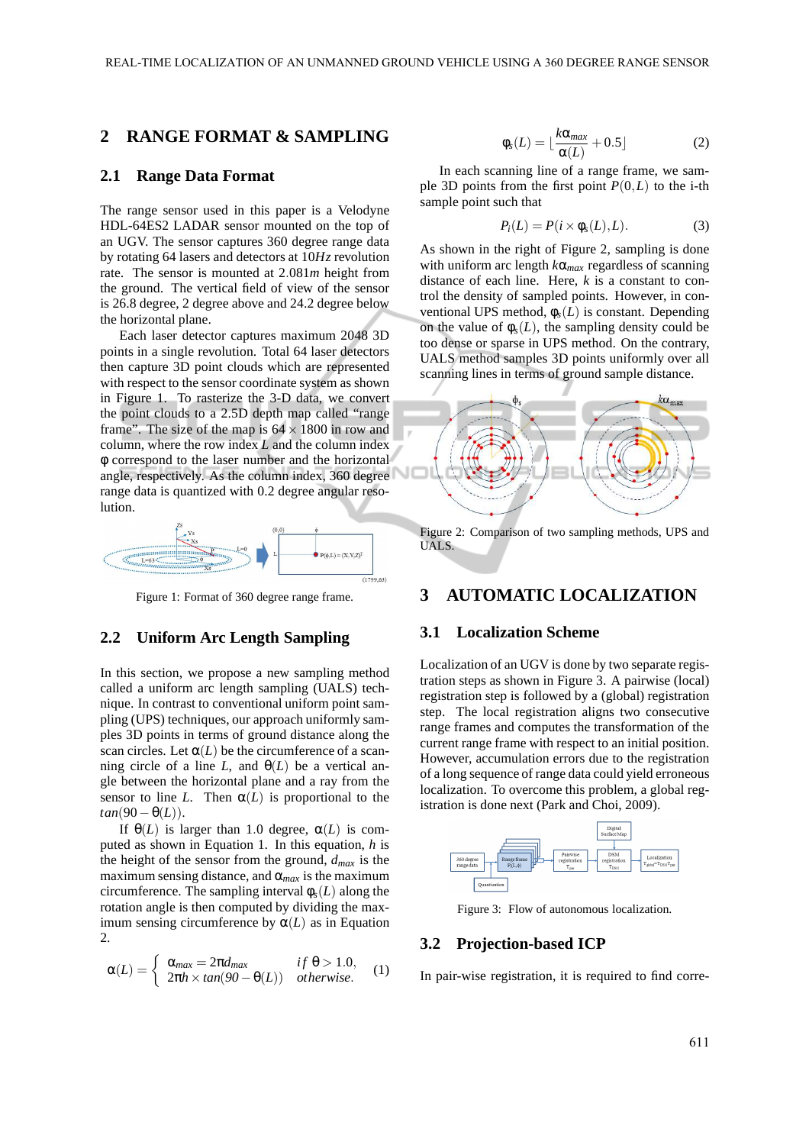## **2 RANGE FORMAT & SAMPLING**

#### **2.1 Range Data Format**

The range sensor used in this paper is a Velodyne HDL-64ES2 LADAR sensor mounted on the top of an UGV. The sensor captures 360 degree range data by rotating 64 lasers and detectors at 10*Hz* revolution rate. The sensor is mounted at 2.081*m* height from the ground. The vertical field of view of the sensor is 26.8 degree, 2 degree above and 24.2 degree below the horizontal plane.

Each laser detector captures maximum 2048 3D points in a single revolution. Total 64 laser detectors then capture 3D point clouds which are represented with respect to the sensor coordinate system as shown in Figure 1. To rasterize the 3-D data, we convert the point clouds to a 2.5D depth map called "range frame". The size of the map is  $64 \times 1800$  in row and column, where the row index *L* and the column index φ correspond to the laser number and the horizontal angle, respectively. As the column index, 360 degree range data is quantized with 0.2 degree angular resolution.



Figure 1: Format of 360 degree range frame.

#### **2.2 Uniform Arc Length Sampling**

In this section, we propose a new sampling method called a uniform arc length sampling (UALS) technique. In contrast to conventional uniform point sampling (UPS) techniques, our approach uniformly samples 3D points in terms of ground distance along the scan circles. Let  $\alpha(L)$  be the circumference of a scanning circle of a line *L*, and  $\Theta(L)$  be a vertical angle between the horizontal plane and a ray from the sensor to line *L*. Then  $\alpha(L)$  is proportional to the  $tan(90 - \theta(L))$ .

If  $\Theta(L)$  is larger than 1.0 degree,  $\alpha(L)$  is computed as shown in Equation 1. In this equation, *h* is the height of the sensor from the ground, *dmax* is the maximum sensing distance, and  $\alpha_{max}$  is the maximum circumference. The sampling interval  $\phi_s(L)$  along the rotation angle is then computed by dividing the maximum sensing circumference by  $\alpha(L)$  as in Equation 2.

$$
\alpha(L) = \begin{cases} \alpha_{max} = 2\pi d_{max} & \text{if } \theta > 1.0, \\ 2\pi h \times \tan(90 - \theta(L)) & \text{otherwise.} \end{cases}
$$
 (1)

$$
\phi_s(L) = \lfloor \frac{k\alpha_{max}}{\alpha(L)} + 0.5 \rfloor \tag{2}
$$

In each scanning line of a range frame, we sample 3D points from the first point  $P(0,L)$  to the i-th sample point such that

$$
P_i(L) = P(i \times \phi_s(L), L). \tag{3}
$$

As shown in the right of Figure 2, sampling is done with uniform arc length *k*α*max* regardless of scanning distance of each line. Here, *k* is a constant to control the density of sampled points. However, in conventional UPS method,  $\phi_s(L)$  is constant. Depending on the value of  $\phi_s(L)$ , the sampling density could be too dense or sparse in UPS method. On the contrary, UALS method samples 3D points uniformly over all scanning lines in terms of ground sample distance.



Figure 2: Comparison of two sampling methods, UPS and UALS.

### **3 AUTOMATIC LOCALIZATION**

#### **3.1 Localization Scheme**

Localization of an UGV is done by two separate registration steps as shown in Figure 3. A pairwise (local) registration step is followed by a (global) registration step. The local registration aligns two consecutive range frames and computes the transformation of the current range frame with respect to an initial position. However, accumulation errors due to the registration of a long sequence of range data could yield erroneous localization. To overcome this problem, a global registration is done next (Park and Choi, 2009).



Figure 3: Flow of autonomous localization.

#### **3.2 Projection-based ICP**

In pair-wise registration, it is required to find corre-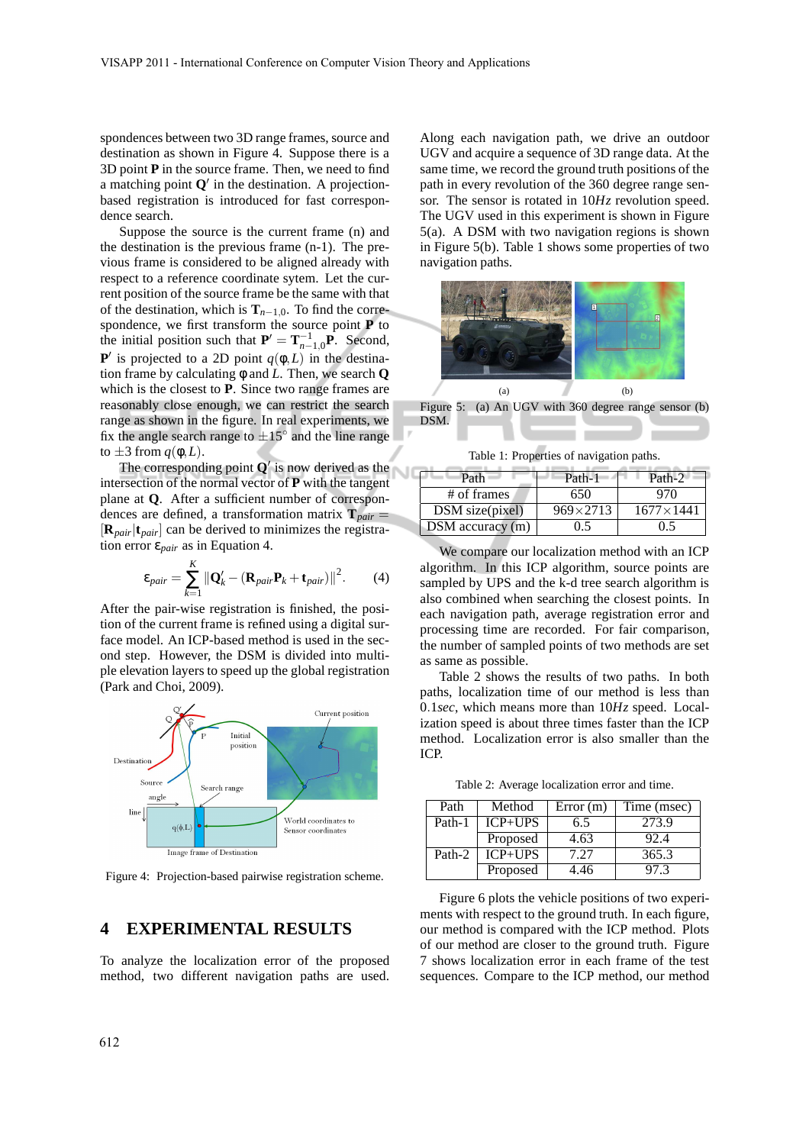spondences between two 3D range frames, source and destination as shown in Figure 4. Suppose there is a 3D point **P** in the source frame. Then, we need to find a matching point  $Q'$  in the destination. A projectionbased registration is introduced for fast correspondence search.

Suppose the source is the current frame (n) and the destination is the previous frame (n-1). The previous frame is considered to be aligned already with respect to a reference coordinate sytem. Let the current position of the source frame be the same with that of the destination, which is  $\mathbf{T}_{n-1,0}$ . To find the correspondence, we first transform the source point **P** to the initial position such that  $P' = T_{n-1,0}^{-1}P$ . Second, **P**<sup> $\prime$ </sup> is projected to a 2D point  $q(\phi, L)$  in the destination frame by calculating φ and *L*. Then, we search **Q** which is the closest to **P**. Since two range frames are reasonably close enough, we can restrict the search range as shown in the figure. In real experiments, we fix the angle search range to  $\pm 15^{\circ}$  and the line range to  $\pm 3$  from  $q(\phi, L)$ .

The corresponding point **Q**′ is now derived as the intersection of the normal vector of **P** with the tangent plane at **Q**. After a sufficient number of correspondences are defined, a transformation matrix  $\mathbf{T}_{pair} =$ [**R***pair*|**t***pair*] can be derived to minimizes the registration error ε*pair* as in Equation 4.

$$
\varepsilon_{pair} = \sum_{k=1}^{K} \left\| \mathbf{Q}'_k - (\mathbf{R}_{pair} \mathbf{P}_k + \mathbf{t}_{pair}) \right\|^2.
$$
 (4)

After the pair-wise registration is finished, the position of the current frame is refined using a digital surface model. An ICP-based method is used in the second step. However, the DSM is divided into multiple elevation layers to speed up the global registration (Park and Choi, 2009).



Figure 4: Projection-based pairwise registration scheme.

## **4 EXPERIMENTAL RESULTS**

To analyze the localization error of the proposed method, two different navigation paths are used.

Along each navigation path, we drive an outdoor UGV and acquire a sequence of 3D range data. At the same time, we record the ground truth positions of the path in every revolution of the 360 degree range sensor. The sensor is rotated in 10*Hz* revolution speed. The UGV used in this experiment is shown in Figure 5(a). A DSM with two navigation regions is shown in Figure 5(b). Table 1 shows some properties of two navigation paths.



Figure 5: (a) An UGV with 360 degree range sensor (b) DSM.

Table 1: Properties of navigation paths.

| Path                 | Path-1            | Path-2             |
|----------------------|-------------------|--------------------|
| # of frames          | 650               | 970                |
| DSM size(pixel)      | $969 \times 2713$ | $1677 \times 1441$ |
| $DSM$ accuracy $(m)$ | 0.5               | 0.5                |

We compare our localization method with an ICP algorithm. In this ICP algorithm, source points are sampled by UPS and the k-d tree search algorithm is also combined when searching the closest points. In each navigation path, average registration error and processing time are recorded. For fair comparison, the number of sampled points of two methods are set as same as possible.

Table 2 shows the results of two paths. In both paths, localization time of our method is less than 0.1*sec*, which means more than 10*Hz* speed. Localization speed is about three times faster than the ICP method. Localization error is also smaller than the ICP.

Table 2: Average localization error and time.

| Path   | Method    | Error(m) | Time (msec) |
|--------|-----------|----------|-------------|
| Path-1 | $ICP+UPS$ | 6.5      | 273.9       |
|        | Proposed  | 4.63     | 92.4        |
| Path-2 | $ICP+UPS$ | 7.27     | 365.3       |
|        | Proposed  | 4.46     | 97.3        |

Figure 6 plots the vehicle positions of two experiments with respect to the ground truth. In each figure, our method is compared with the ICP method. Plots of our method are closer to the ground truth. Figure 7 shows localization error in each frame of the test sequences. Compare to the ICP method, our method